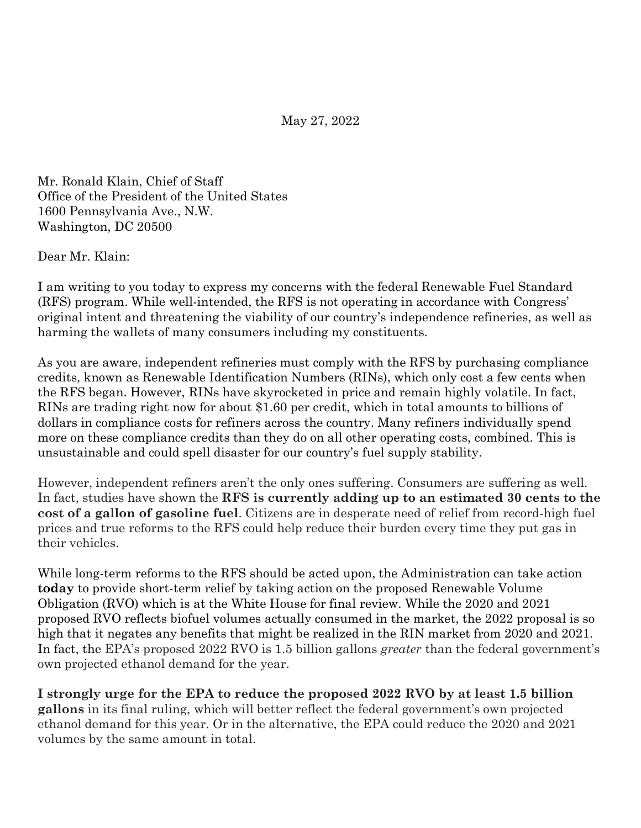May 27, 2022

Mr. Ronald Klain, Chief of Staff Office of the President of the United States 1600 Pennsylvania Ave., N.W. Washington, DC 20500

Dear Mr. Klain:

I am writing to you today to express my concerns with the federal Renewable Fuel Standard (RFS) program. While well-intended, the RFS is not operating in accordance with Congress' original intent and threatening the viability of our country's independence refineries, as well as harming the wallets of many consumers including my constituents.

As you are aware, independent refineries must comply with the RFS by purchasing compliance credits, known as Renewable Identification Numbers (RINs), which only cost a few cents when the RFS began. However, RINs have skyrocketed in price and remain highly volatile. In fact, RINs are trading right now for about \$1.60 per credit, which in total amounts to billions of dollars in compliance costs for refiners across the country. Many refiners individually spend more on these compliance credits than they do on all other operating costs, combined. This is unsustainable and could spell disaster for our country's fuel supply stability.

However, independent refiners aren't the only ones suffering. Consumers are suffering as well. In fact, studies have shown the **RFS is currently adding up to an estimated 30 cents to the cost of a gallon of gasoline fuel**. Citizens are in desperate need of relief from record-high fuel prices and true reforms to the RFS could help reduce their burden every time they put gas in their vehicles.

While long-term reforms to the RFS should be acted upon, the Administration can take action **today** to provide short-term relief by taking action on the proposed Renewable Volume Obligation (RVO) which is at the White House for final review. While the 2020 and 2021 proposed RVO reflects biofuel volumes actually consumed in the market, the 2022 proposal is so high that it negates any benefits that might be realized in the RIN market from 2020 and 2021. In fact, the EPA's proposed 2022 RVO is 1.5 billion gallons *greater* than the federal government's own projected ethanol demand for the year.

**I strongly urge for the EPA to reduce the proposed 2022 RVO by at least 1.5 billion gallons** in its final ruling, which will better reflect the federal government's own projected ethanol demand for this year. Or in the alternative, the EPA could reduce the 2020 and 2021 volumes by the same amount in total.